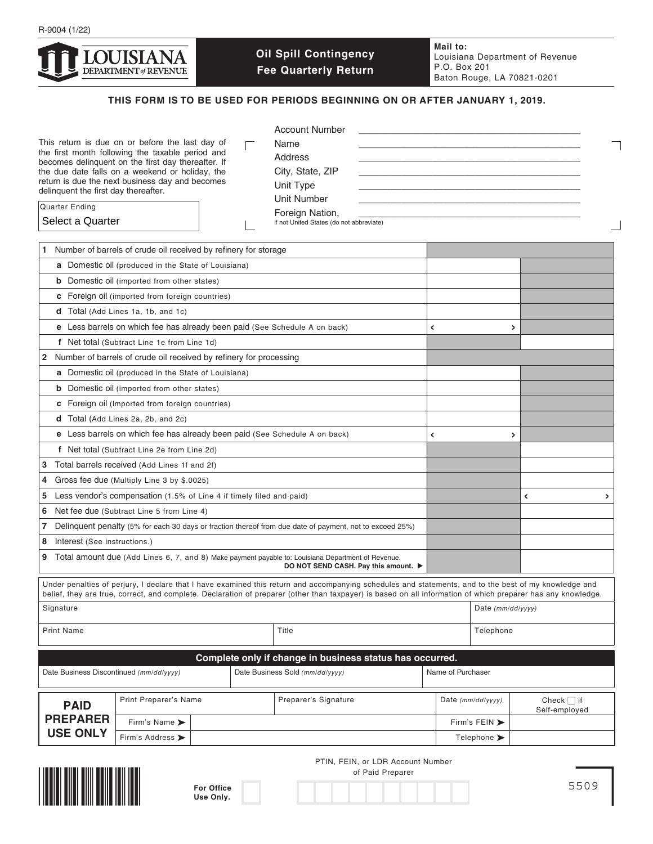

# **Oil Spill Contingency Fee Quarterly Return**

**Mail to:** Louisiana Department of Revenue P.O. Box 201 Baton Rouge, LA 70821-0201

## **THIS FORM IS TO BE USED FOR PERIODS BEGINNING ON OR AFTER JANUARY 1, 2019.**

| This return is due on or before the last day of<br>the first month following the taxable period and<br>becomes delinquent on the first day thereafter. If<br>the due date falls on a weekend or holiday, the<br>return is due the next business day and becomes<br>delinquent the first day thereafter.<br>Quarter Ending<br>Select a Quarter | Account Number<br>Name<br>Address<br>City, State, ZIP<br>Unit Type<br>Unit Number<br>Foreign Nation,<br>if not United States (do not abbreviate) |    |
|-----------------------------------------------------------------------------------------------------------------------------------------------------------------------------------------------------------------------------------------------------------------------------------------------------------------------------------------------|--------------------------------------------------------------------------------------------------------------------------------------------------|----|
| Number of barrels of crude oil received by refinery for storage                                                                                                                                                                                                                                                                               |                                                                                                                                                  |    |
| <b>a</b> Domestic oil (produced in the State of Louisiana)                                                                                                                                                                                                                                                                                    |                                                                                                                                                  |    |
| <b>b</b> Domestic oil (imported from other states)                                                                                                                                                                                                                                                                                            |                                                                                                                                                  |    |
| <b>c</b> Foreign oil (imported from foreign countries)                                                                                                                                                                                                                                                                                        |                                                                                                                                                  |    |
| <b>d</b> Total (Add Lines 1a, 1b, and 1c)                                                                                                                                                                                                                                                                                                     |                                                                                                                                                  |    |
| e Less barrels on which fee has already been paid (See Schedule A on back)                                                                                                                                                                                                                                                                    |                                                                                                                                                  | ۰, |
| f Net total (Subtract Line 1e from Line 1d)                                                                                                                                                                                                                                                                                                   |                                                                                                                                                  |    |

| <b>a</b> Domestic oil (produced in the State of Louisiana)                                                                                                                                                                                                                                                            |  |   |                     |        |
|-----------------------------------------------------------------------------------------------------------------------------------------------------------------------------------------------------------------------------------------------------------------------------------------------------------------------|--|---|---------------------|--------|
| <b>b</b> Domestic oil (imported from other states)                                                                                                                                                                                                                                                                    |  |   |                     |        |
| <b>c</b> Foreign oil (imported from foreign countries)                                                                                                                                                                                                                                                                |  |   |                     |        |
| d Total (Add Lines 1a, 1b, and 1c)                                                                                                                                                                                                                                                                                    |  |   |                     |        |
| e Less barrels on which fee has already been paid (See Schedule A on back)                                                                                                                                                                                                                                            |  |   | $\overline{ }$      |        |
| f Net total (Subtract Line 1e from Line 1d)                                                                                                                                                                                                                                                                           |  |   |                     |        |
| Number of barrels of crude oil received by refinery for processing<br>$\overline{2}$                                                                                                                                                                                                                                  |  |   |                     |        |
| a Domestic oil (produced in the State of Louisiana)                                                                                                                                                                                                                                                                   |  |   |                     |        |
| <b>b</b> Domestic oil (imported from other states)                                                                                                                                                                                                                                                                    |  |   |                     |        |
| <b>c</b> Foreign oil (imported from foreign countries)                                                                                                                                                                                                                                                                |  |   |                     |        |
| d Total (Add Lines 2a, 2b, and 2c)                                                                                                                                                                                                                                                                                    |  |   |                     |        |
| e Less barrels on which fee has already been paid (See Schedule A on back)                                                                                                                                                                                                                                            |  | K | $\overline{ }$      |        |
| f Net total (Subtract Line 2e from Line 2d)                                                                                                                                                                                                                                                                           |  |   |                     |        |
| Total barrels received (Add Lines 1f and 2f)<br>3                                                                                                                                                                                                                                                                     |  |   |                     |        |
| Gross fee due (Multiply Line 3 by \$.0025)<br>4                                                                                                                                                                                                                                                                       |  |   |                     |        |
| Less vendor's compensation (1.5% of Line 4 if timely filed and paid)<br>5                                                                                                                                                                                                                                             |  |   |                     | ≺<br>> |
| Net fee due (Subtract Line 5 from Line 4)<br>6                                                                                                                                                                                                                                                                        |  |   |                     |        |
| Delinquent penalty (5% for each 30 days or fraction thereof from due date of payment, not to exceed 25%)<br>7                                                                                                                                                                                                         |  |   |                     |        |
| Interest (See instructions.)<br>8                                                                                                                                                                                                                                                                                     |  |   |                     |        |
| Total amount due (Add Lines 6, 7, and 8) Make payment payable to: Louisiana Department of Revenue.<br>9<br>DO NOT SEND CASH. Pay this amount. ▶                                                                                                                                                                       |  |   |                     |        |
| Under penalties of perjury, I declare that I have examined this return and accompanying schedules and statements, and to the best of my knowledge and<br>belief, they are true, correct, and complete. Declaration of preparer (other than taxpayer) is based on all information of which preparer has any knowledge. |  |   |                     |        |
| Signature                                                                                                                                                                                                                                                                                                             |  |   | Date $(mm/dd/yyyy)$ |        |
| Title<br><b>Print Name</b>                                                                                                                                                                                                                                                                                            |  |   | Telephone           |        |

| Complete only if change in business status has occurred. |                                      |                                 |                      |  |                                   |                                  |
|----------------------------------------------------------|--------------------------------------|---------------------------------|----------------------|--|-----------------------------------|----------------------------------|
| Date Business Discontinued (mm/dd/yyyy)                  |                                      | Date Business Sold (mm/dd/yyyy) | Name of Purchaser    |  |                                   |                                  |
| <b>PAID</b><br><b>PREPARER</b><br><b>USE ONLY</b>        | Print Preparer's Name                |                                 | Preparer's Signature |  | Date $(mm/dd/vv/v)$               | Check $\Box$ if<br>Self-employed |
|                                                          | Firm's Name $\blacktriangleright$    |                                 |                      |  | Firm's FEIN $\blacktriangleright$ |                                  |
|                                                          | Firm's Address $\blacktriangleright$ |                                 |                      |  | Telephone $\blacktriangleright$   |                                  |



| <b>For Office</b> |  |
|-------------------|--|
| Use Only.         |  |

PTIN, FEIN, or LDR Account Number of Paid Preparer

5509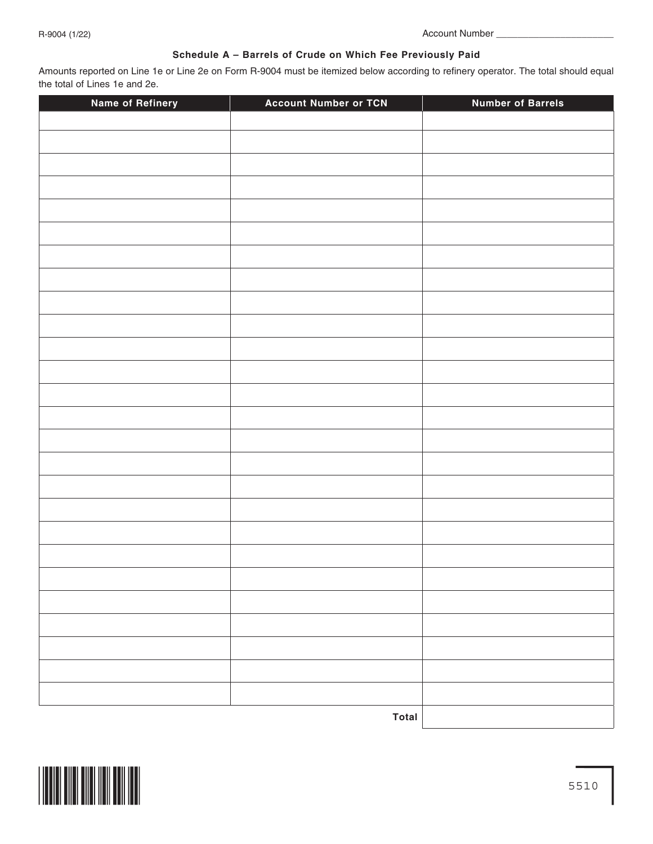## **Schedule A – Barrels of Crude on Which Fee Previously Paid**

Amounts reported on Line 1e or Line 2e on Form R-9004 must be itemized below according to refinery operator. The total should equal the total of Lines 1e and 2e.

| <b>Name of Refinery</b> | <b>Account Number or TCN</b> | <b>Number of Barrels</b> |
|-------------------------|------------------------------|--------------------------|
|                         |                              |                          |
|                         |                              |                          |
|                         |                              |                          |
|                         |                              |                          |
|                         |                              |                          |
|                         |                              |                          |
|                         |                              |                          |
|                         |                              |                          |
|                         |                              |                          |
|                         |                              |                          |
|                         |                              |                          |
|                         |                              |                          |
|                         |                              |                          |
|                         |                              |                          |
|                         |                              |                          |
|                         |                              |                          |
|                         |                              |                          |
|                         |                              |                          |
|                         |                              |                          |
|                         |                              |                          |
|                         |                              |                          |
|                         |                              |                          |
|                         |                              |                          |
|                         |                              |                          |
|                         |                              |                          |
|                         |                              |                          |
|                         | Total                        |                          |